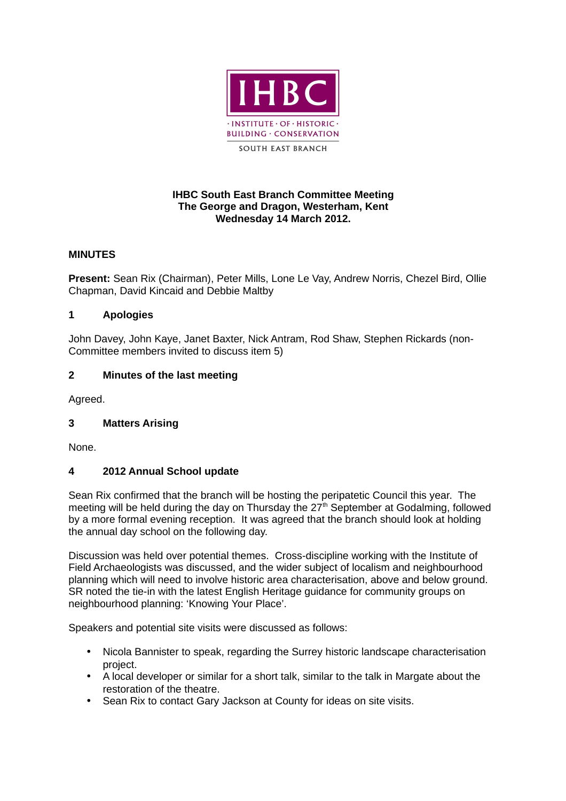

# **IHBC South East Branch Committee Meeting The George and Dragon, Westerham, Kent Wednesday 14 March 2012.**

# **MINUTES**

**Present:** Sean Rix (Chairman), Peter Mills, Lone Le Vay, Andrew Norris, Chezel Bird, Ollie Chapman, David Kincaid and Debbie Maltby

# **1 Apologies**

John Davey, John Kaye, Janet Baxter, Nick Antram, Rod Shaw, Stephen Rickards (non-Committee members invited to discuss item 5)

### **2 Minutes of the last meeting**

Agreed.

# **3 Matters Arising**

None.

#### **4 2012 Annual School update**

Sean Rix confirmed that the branch will be hosting the peripatetic Council this year. The meeting will be held during the day on Thursday the 27<sup>th</sup> September at Godalming, followed by a more formal evening reception. It was agreed that the branch should look at holding the annual day school on the following day.

Discussion was held over potential themes. Cross-discipline working with the Institute of Field Archaeologists was discussed, and the wider subject of localism and neighbourhood planning which will need to involve historic area characterisation, above and below ground. SR noted the tie-in with the latest English Heritage guidance for community groups on neighbourhood planning: 'Knowing Your Place'.

Speakers and potential site visits were discussed as follows:

- Nicola Bannister to speak, regarding the Surrey historic landscape characterisation project.
- A local developer or similar for a short talk, similar to the talk in Margate about the restoration of the theatre.
- Sean Rix to contact Gary Jackson at County for ideas on site visits.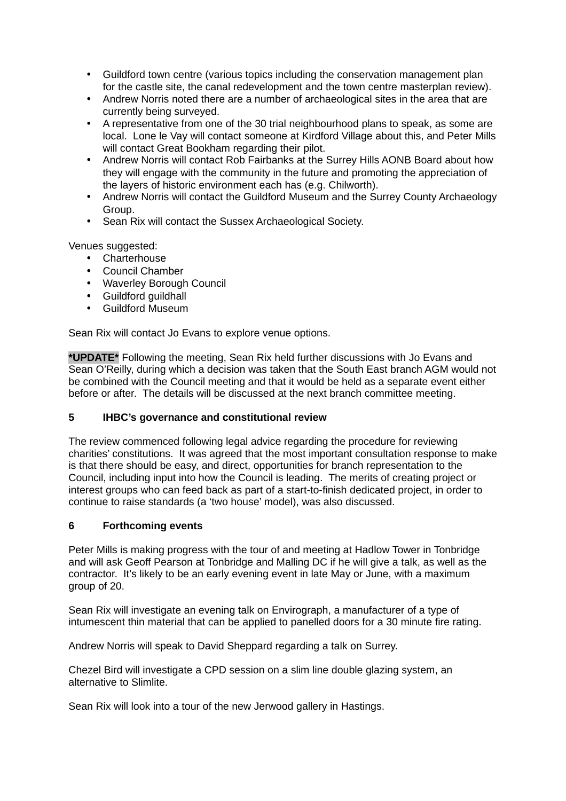- Guildford town centre (various topics including the conservation management plan for the castle site, the canal redevelopment and the town centre masterplan review).
- Andrew Norris noted there are a number of archaeological sites in the area that are currently being surveyed.
- A representative from one of the 30 trial neighbourhood plans to speak, as some are local. Lone le Vay will contact someone at Kirdford Village about this, and Peter Mills will contact Great Bookham regarding their pilot.
- Andrew Norris will contact Rob Fairbanks at the Surrey Hills AONB Board about how they will engage with the community in the future and promoting the appreciation of the layers of historic environment each has (e.g. Chilworth).
- Andrew Norris will contact the Guildford Museum and the Surrey County Archaeology Group.
- Sean Rix will contact the Sussex Archaeological Society.

Venues suggested:

- Charterhouse
- Council Chamber
- Waverley Borough Council
- Guildford guildhall
- Guildford Museum

Sean Rix will contact Jo Evans to explore venue options.

**\*UPDATE\*** Following the meeting, Sean Rix held further discussions with Jo Evans and Sean O'Reilly, during which a decision was taken that the South East branch AGM would not be combined with the Council meeting and that it would be held as a separate event either before or after. The details will be discussed at the next branch committee meeting.

# **5 IHBC's governance and constitutional review**

The review commenced following legal advice regarding the procedure for reviewing charities' constitutions. It was agreed that the most important consultation response to make is that there should be easy, and direct, opportunities for branch representation to the Council, including input into how the Council is leading. The merits of creating project or interest groups who can feed back as part of a start-to-finish dedicated project, in order to continue to raise standards (a 'two house' model), was also discussed.

#### **6 Forthcoming events**

Peter Mills is making progress with the tour of and meeting at Hadlow Tower in Tonbridge and will ask Geoff Pearson at Tonbridge and Malling DC if he will give a talk, as well as the contractor. It's likely to be an early evening event in late May or June, with a maximum group of 20.

Sean Rix will investigate an evening talk on Envirograph, a manufacturer of a type of intumescent thin material that can be applied to panelled doors for a 30 minute fire rating.

Andrew Norris will speak to David Sheppard regarding a talk on Surrey.

Chezel Bird will investigate a CPD session on a slim line double glazing system, an alternative to Slimlite.

Sean Rix will look into a tour of the new Jerwood gallery in Hastings.